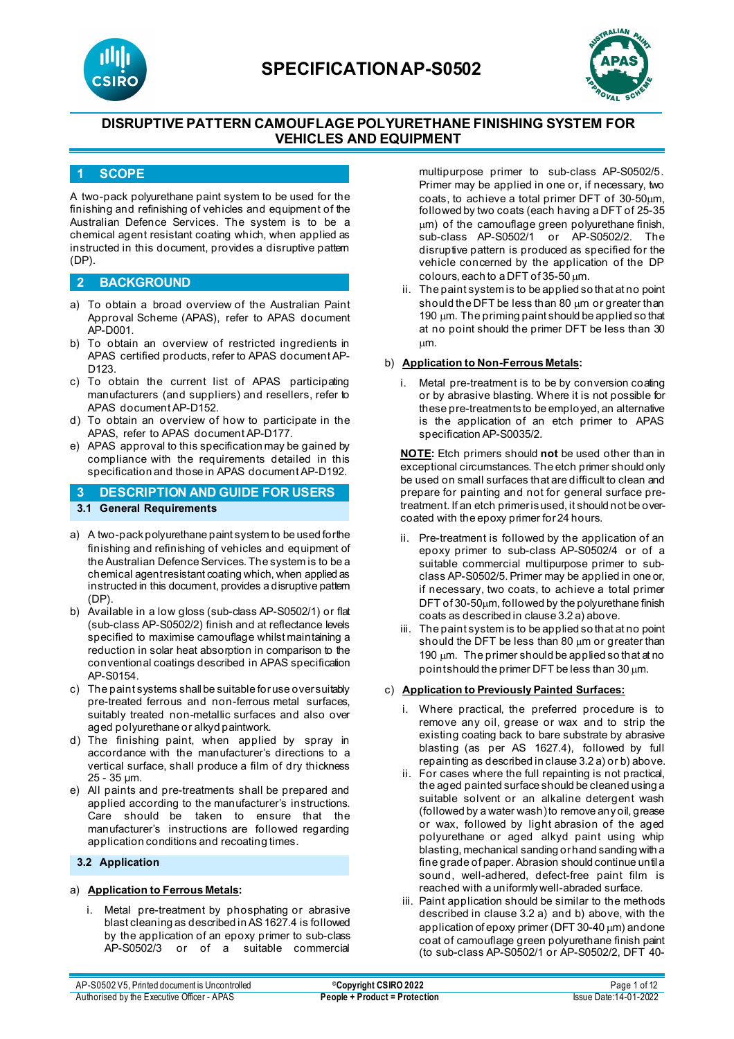



### **1 SCOPE**

A two-pack polyurethane paint system to be used for the finishing and refinishing of vehicles and equipment of the Australian Defence Services. The system is to be a chemical agent resistant coating which, when applied as instructed in this document, provides a disruptive pattern (DP).

### **2 BACKGROUND**

- a) To obtain a broad overview of the Australian Paint Approval Scheme (APAS), refer to APAS document AP-D001.
- b) To obtain an overview of restricted ingredients in APAS certified products, refer to APAS document AP-D123.
- c) To obtain the current list of APAS participating manufacturers (and suppliers) and resellers, refer to APAS document AP-D152.
- d) To obtain an overview of how to participate in the APAS, refer to APAS document AP-D177.
- e) APAS approval to this specification may be gained by compliance with the requirements detailed in this specification and those in APAS document AP-D192.

## **3 DESCRIPTION AND GUIDE FOR USERS 3.1 General Requirements**

- a) A two-pack polyurethane paint system to be used for the finishing and refinishing of vehicles and equipment of the Australian Defence Services. The system is to be a chemical agent resistant coating which, when applied as instructed in this document, provides a disruptive pattern  $(DP)$
- b) Available in a low gloss (sub-class AP-S0502/1) or flat (sub-class AP-S0502/2) finish and at reflectance levels specified to maximise camouflage whilst maintaining a reduction in solar heat absorption in comparison to the conventional coatings described in APAS specification AP-S0154.
- c) The paint systems shall be suitable for use over suitably pre-treated ferrous and non-ferrous metal surfaces, suitably treated non-metallic surfaces and also over aged polyurethane or alkyd paintwork.
- d) The finishing paint, when applied by spray in accordance with the manufacturer's directions to a vertical surface, shall produce a film of dry thickness 25 - 35 µm.
- e) All paints and pre-treatments shall be prepared and applied according to the manufacturer's instructions. Care should be taken to ensure that the manufacturer's instructions are followed regarding application conditions and recoating times.

### **3.2 Application**

### a) **Application to Ferrous Metals:**

i. Metal pre-treatment by phosphating or abrasive blast cleaning as described in AS 1627.4 is followed by the application of an epoxy primer to sub-class AP-S0502/3 or of a suitable commercial multipurpose primer to sub-class AP-S0502/5. Primer may be applied in one or, if necessary, two coats, to achieve a total primer DFT of 30-50µm, followed by two coats (each having a DFT of 25-35 µm) of the camouflage green polyurethane finish, sub-class AP-S0502/1 or AP-S0502/2. The disruptive pattern is produced as specified for the vehicle concerned by the application of the DP colours, each to a DFT of 35-50  $\mu$ m.

ii. The paint system is to be applied so that at no point should the DFT be less than 80  $\mu$ m or greater than 190  $\mu$ m. The priming paint should be applied so that at no point should the primer DFT be less than 30 µm.

#### b) **Application to Non-Ferrous Metals:**

i. Metal pre-treatment is to be by conversion coating or by abrasive blasting. Where it is not possible for these pre-treatments to be employed, an alternative is the application of an etch primer to APAS specification AP-S0035/2.

**NOTE:** Etch primers should **not** be used other than in exceptional circumstances. The etch primer should only be used on small surfaces that are difficult to clean and prepare for painting and not for general surface pretreatment. If an etch primer is used, it should not be overcoated with the epoxy primer for 24 hours.

- ii. Pre-treatment is followed by the application of an epoxy primer to sub-class AP-S0502/4 or of a suitable commercial multipurpose primer to subclass AP-S0502/5. Primer may be applied in one or, if necessary, two coats, to achieve a total primer DFT of 30-50um, followed by the polyurethane finish coats as described in clause 3.2 a) above.
- iii. The paint system is to be applied so that at no point should the DFT be less than 80 um or greater than 190  $\mu$ m. The primer should be applied so that at no point should the primer DFT be less than 30 µm.

### c) **Application to Previously Painted Surfaces:**

- i. Where practical, the preferred procedure is to remove any oil, grease or wax and to strip the existing coating back to bare substrate by abrasive blasting (as per AS 1627.4), followed by full repainting as described in clause 3.2 a) or b) above.
- ii. For cases where the full repainting is not practical, the aged painted surface should be cleaned using a suitable solvent or an alkaline detergent wash (followed by a water wash) to remove any oil, grease or wax, followed by light abrasion of the aged polyurethane or aged alkyd paint using whip blasting, mechanical sanding or hand sanding with a fine grade of paper. Abrasion should continue until a sound, well-adhered, defect-free paint film is reached with a uniformly well-abraded surface.
- iii. Paint application should be similar to the methods described in clause 3.2 a) and b) above, with the application of epoxy primer (DFT 30-40  $\mu$ m) and one coat of camouflage green polyurethane finish paint (to sub-class AP-S0502/1 or AP-S0502/2, DFT 40-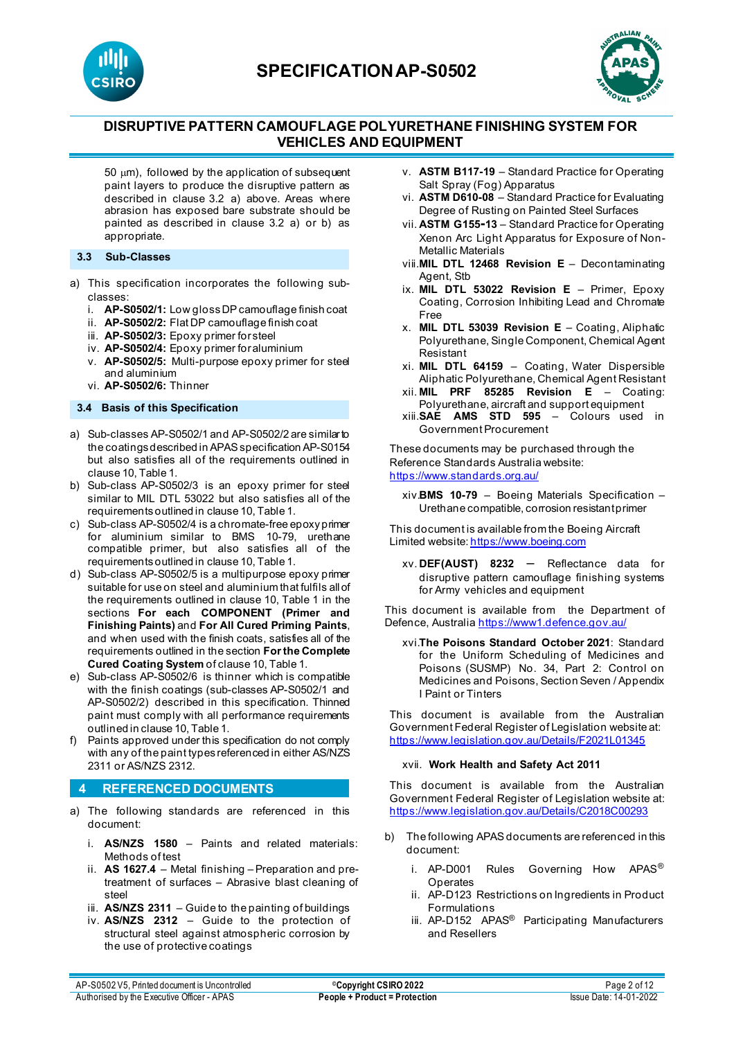



# **DISRUPTIVE PATTERN CAMOUFLAGE POLYURETHANE FINISHING SYSTEM FOR VEHICLES AND EQUIPMENT**

 $50 \mu m$ ), followed by the application of subsequent paint layers to produce the disruptive pattern as described in clause 3.2 a) above. Areas where abrasion has exposed bare substrate should be painted as described in clause 3.2 a) or b) as appropriate.

#### **3.3 Sub-Classes**

- a) This specification incorporates the following subclasses:
	- i. **AP-S0502/1:** Low gloss DP camouflage finish coat
	- ii. **AP-S0502/2:** Flat DP camouflage finish coat
	- iii. **AP-S0502/3:** Epoxy primer for steel
	- iv. **AP-S0502/4:** Epoxy primer for aluminium
	- v. **AP-S0502/5:** Multi-purpose epoxy primer for steel and aluminium
	- vi. **AP-S0502/6:** Thinner

#### **3.4 Basis of this Specification**

- a) Sub-classes AP-S0502/1 and AP-S0502/2 are similar to the coatings described in APASspecification AP-S0154 but also satisfies all of the requirements outlined in clause 10, Table 1.
- b) Sub-class AP-S0502/3 is an epoxy primer for steel similar to MIL DTL 53022 but also satisfies all of the requirements outlined in clause 10, Table 1.
- c) Sub-class AP-S0502/4 is a chromate-free epoxy primer for aluminium similar to BMS 10-79, urethane compatible primer, but also satisfies all of the requirements outlined in clause 10, Table 1.
- d) Sub-class AP-S0502/5 is a multipurpose epoxy primer suitable for use on steel and aluminium that fulfils all of the requirements outlined in clause 10, Table 1 in the sections **For each COMPONENT (Primer and Finishing Paints)** and **For All Cured Priming Paints**, and when used with the finish coats, satisfies all of the requirements outlined in the section **For the Complete Cured Coating System** of clause 10, Table 1.
- e) Sub-class AP-S0502/6 is thinner which is compatible with the finish coatings (sub-classes AP-S0502/1 and AP-S0502/2) described in this specification. Thinned paint must comply with all performance requirements outlined in clause 10, Table 1.
- f) Paints approved under this specification do not comply with any of the paint types referenced in either AS/NZS 2311 or AS/NZS 2312.

### **4 REFERENCED DOCUMENTS**

- a) The following standards are referenced in this document:
	- i. **AS/NZS 1580** Paints and related materials: Methods of test
	- ii. **AS 1627.4** Metal finishing Preparation and pretreatment of surfaces – Abrasive blast cleaning of steel
	- iii. **AS/NZS 2311** Guide to the painting of buildings
	- iv. **AS/NZS 2312** Guide to the protection of structural steel against atmospheric corrosion by the use of protective coatings
- v. **ASTM B117-19** Standard Practice for Operating Salt Spray (Fog) Apparatus
- vi. **ASTM D610-08** Standard Practice for Evaluating Degree of Rusting on Painted Steel Surfaces
- vii. **ASTM G155-13** Standard Practice for Operating Xenon Arc Light Apparatus for Exposure of Non-Metallic Materials
- viii.**MIL DTL 12468 Revision E**  Decontaminating Agent, Stb
- ix. **MIL DTL 53022 Revision E**  Primer, Epoxy Coating, Corrosion Inhibiting Lead and Chromate Free
- x. **MIL DTL 53039 Revision E**  Coating, Aliphatic Polyurethane, Single Component, Chemical Agent Resistant
- xi. **MIL DTL 64159** Coating, Water Dispersible Aliphatic Polyurethane, Chemical Agent Resistant xii. **MIL PRF 85285 Revision E** – Coating:
- Polyurethane, aircraft and support equipment
- xiii.**SAE AMS STD 595** Colours used in Government Procurement

These documents may be purchased through the Reference Standards Australia website: <https://www.standards.org.au/>

xiv.**BMS 10-79** – Boeing Materials Specification – Urethane compatible, corrosion resistant primer

This document is available from the Boeing Aircraft Limited website[: https://www.boeing.com](https://www.boeing.com/)

xv. **DEF(AUST) 8232** – Reflectance data for disruptive pattern camouflage finishing systems for Army vehicles and equipment

This document is available from the Department of Defence, Australia<https://www1.defence.gov.au/>

xvi.**The Poisons Standard October 2021**: Standard for the Uniform Scheduling of Medicines and Poisons (SUSMP) No. 34, Part 2: Control on Medicines and Poisons, Section Seven / Appendix I Paint or Tinters

This document is available from the Australian Government Federal Register of Legislation website at: <https://www.legislation.gov.au/Details/F2021L01345>

#### xvii. **Work Health and Safety Act 2011**

This document is available from the Australian Government Federal Register of Legislation website at: <https://www.legislation.gov.au/Details/C2018C00293>

- b) The following APAS documents are referenced in this document:
	- i. AP-D001 Rules Governing How APAS<sup>®</sup> Operates
	- ii. AP-D123 Restrictions on Ingredients in Product Formulations
	- iii. AP-D152 APAS<sup>®</sup> Participating Manufacturers and Resellers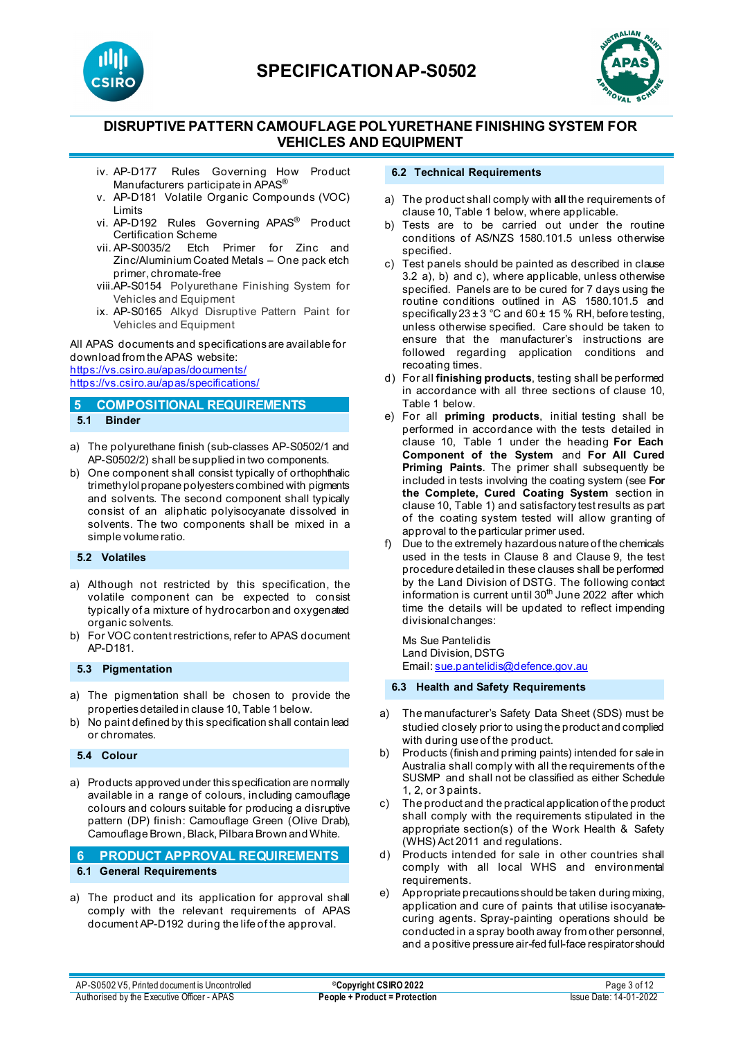



# **DISRUPTIVE PATTERN CAMOUFLAGE POLYURETHANE FINISHING SYSTEM FOR VEHICLES AND EQUIPMENT**

- iv. AP-D177 Rules Governing How Product Manufacturers participate in APAS®
- v. AP-D181 Volatile Organic Compounds (VOC) Limits
- vi. AP-D192 Rules Governing APAS® Product Certification Scheme
- vii. AP-S0035/2 Etch Primer for Zinc and Zinc/Aluminium Coated Metals – One pack etch primer, chromate-free
- viii.AP-S0154 Polyurethane Finishing System for Vehicles and Equipment
- ix. AP-S0165 Alkyd Disruptive Pattern Paint for Vehicles and Equipment

All APAS documents and specifications are available for download from the APAS website:

<https://vs.csiro.au/apas/documents/> <https://vs.csiro.au/apas/specifications/>

# **5 COMPOSITIONAL REQUIREMENTS**

#### **5.1 Binder**

- a) The polyurethane finish (sub-classes AP-S0502/1 and AP-S0502/2) shall be supplied in two components.
- b) One component shall consist typically of orthophthalic trimethylol propane polyesters combined with pigments and solvents. The second component shall typically consist of an aliphatic polyisocyanate dissolved in solvents. The two components shall be mixed in a simple volume ratio.

### **5.2 Volatiles**

- a) Although not restricted by this specification, the volatile component can be expected to consist typically of a mixture of hydrocarbon and oxygenated organic solvents.
- b) For VOC content restrictions, refer to APAS document AP-D181.

### **5.3 Pigmentation**

- a) The pigmentation shall be chosen to provide the properties detailed in clause 10, Table 1 below.
- b) No paint defined by this specification shall contain lead or chromates.

### **5.4 Colour**

a) Products approved under this specification are normally available in a range of colours, including camouflage colours and colours suitable for producing a disruptive pattern (DP) finish: Camouflage Green (Olive Drab), Camouflage Brown, Black, Pilbara Brown and White.

### **6 PRODUCT APPROVAL REQUIREMENTS 6.1 General Requirements**

a) The product and its application for approval shall comply with the relevant requirements of APAS document AP-D192 during the life of the approval.

#### **6.2 Technical Requirements**

- a) The product shall comply with **all** the requirements of clause 10, Table 1 below, where applicable.
- b) Tests are to be carried out under the routine conditions of AS/NZS 1580.101.5 unless otherwise specified.
- c) Test panels should be painted as described in clause 3.2 a), b) and c), where applicable, unless otherwise specified. Panels are to be cured for 7 days using the routine conditions outlined in AS 1580.101.5 and specifically  $23 \pm 3$  °C and  $60 \pm 15$  % RH, before testing, unless otherwise specified. Care should be taken to ensure that the manufacturer's instructions are followed regarding application conditions and recoating times.
- d) For all **finishing products**, testing shall be performed in accordance with all three sections of clause 10, Table 1 below.
- e) For all **priming products**, initial testing shall be performed in accordance with the tests detailed in clause 10, Table 1 under the heading **For Each Component of the System** and **For All Cured Priming Paints**. The primer shall subsequently be included in tests involving the coating system (see **For the Complete, Cured Coating System** section in clause 10, Table 1) and satisfactory test results as part of the coating system tested will allow granting of approval to the particular primer used.
- f) Due to the extremely hazardous nature of the chemicals used in the tests in Clause 8 and Clause 9, the test procedure detailed in these clauses shall be performed by the Land Division of DSTG. The following contact information is current until 30<sup>th</sup> June 2022 after which time the details will be updated to reflect impending divisional changes:

Ms Sue Pantelidis Land Division, DSTG Email[: sue.pantelidis@defence.gov.au](mailto:sue.pantelidis@defence.gov.au)

## **6.3 Health and Safety Requirements**

- a) The manufacturer's Safety Data Sheet (SDS) must be studied closely prior to using the product and complied with during use of the product.
- b) Products (finish and priming paints) intended for sale in Australia shall comply with all the requirements of the SUSMP and shall not be classified as either Schedule 1, 2, or 3 paints.
- c) The product and the practical application of the product shall comply with the requirements stipulated in the appropriate section(s) of the Work Health & Safety (WHS) Act 2011 and regulations.
- d) Products intended for sale in other countries shall comply with all local WHS and environmental requirements.
- e) Appropriate precautions should be taken during mixing, application and cure of paints that utilise isocyanatecuring agents. Spray-painting operations should be conducted in a spray booth away from other personnel, and a positive pressure air-fed full-face respirator should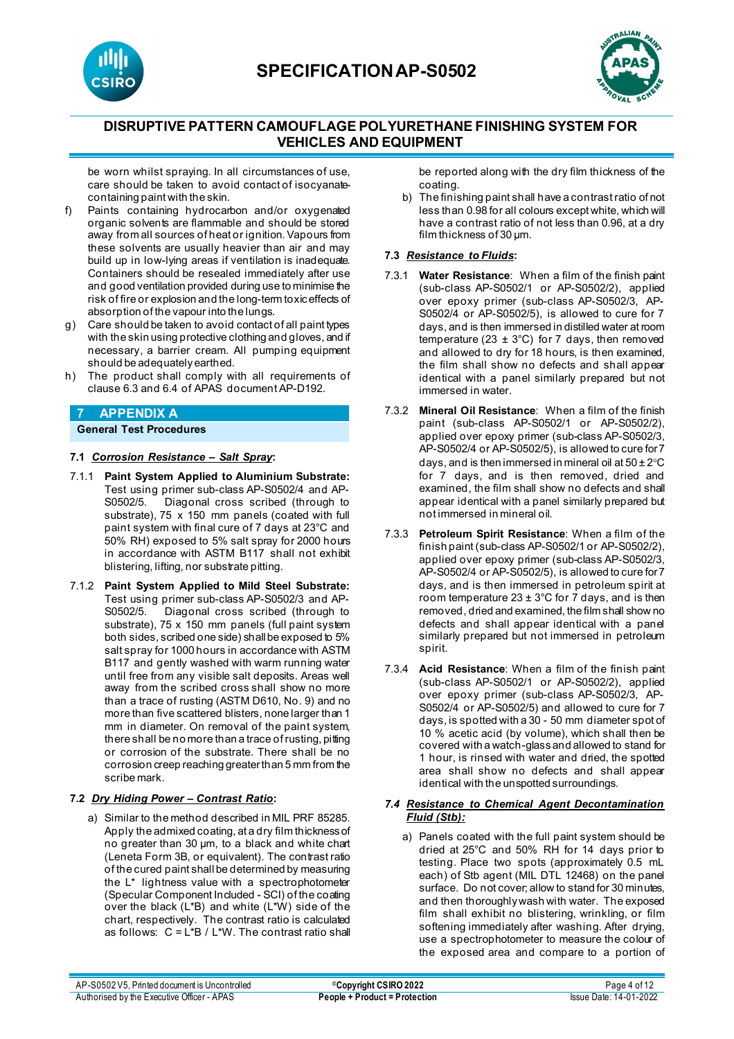



be worn whilst spraying. In all circumstances of use, care should be taken to avoid contact of isocyanatecontaining paint with the skin.

- Paints containing hydrocarbon and/or oxygenated organic solvents are flammable and should be stored away from all sources of heat or ignition. Vapours from these solvents are usually heavier than air and may build up in low-lying areas if ventilation is inadequate. Containers should be resealed immediately after use and good ventilation provided during use to minimise the risk of fire or explosion and the long-term toxic effects of absorption of the vapour into the lungs.
- g) Care should be taken to avoid contact of all paint types with the skin using protective clothing and gloves, and if necessary, a barrier cream. All pumping equipment should be adequately earthed.
- h) The product shall comply with all requirements of clause 6.3 and 6.4 of APAS document AP-D192.

#### **7 APPENDIX A General Test Procedures**

### **7.1** *Corrosion Resistance – Salt Spray***:**

- 7.1.1 **Paint System Applied to Aluminium Substrate:** Test using primer sub-class AP-S0502/4 and AP-S0502/5. Diagonal cross scribed (through to substrate), 75 x 150 mm panels (coated with full paint system with final cure of 7 days at 23°C and 50% RH) exposed to 5% salt spray for 2000 hours in accordance with ASTM B117 shall not exhibit blistering, lifting, nor substrate pitting.
- 7.1.2 **Paint System Applied to Mild Steel Substrate:** Test using primer sub-class AP-S0502/3 and AP-S0502/5. Diagonal cross scribed (through to substrate), 75 x 150 mm panels (full paint system both sides, scribed one side) shall be exposed to 5% salt spray for 1000 hours in accordance with ASTM B117 and gently washed with warm running water until free from any visible salt deposits. Areas well away from the scribed cross shall show no more than a trace of rusting (ASTM D610, No. 9) and no more than five scattered blisters, none larger than 1 mm in diameter. On removal of the paint system, there shall be no more than a trace of rusting, pitting or corrosion of the substrate. There shall be no corrosion creep reaching greaterthan 5 mm from the scribe mark.

### **7.2** *Dry Hiding Power – Contrast Ratio***:**

a) Similar to the method described in MIL PRF 85285. Apply the admixed coating, at a dry film thickness of no greater than 30 µm, to a black and white chart (Leneta Form 3B, or equivalent). The contrast ratio of the cured paint shall be determined by measuring the L\* lightness value with a spectrophotometer (Specular Component Included - SCI) of the coating over the black (L\*B) and white (L\*W) side of the chart, respectively. The contrast ratio is calculated as follows:  $C = L^*B / L^*W$ . The contrast ratio shall

be reported along with the dry film thickness of the coating.

b) The finishing paint shall have a contrast ratio of not less than 0.98 for all colours except white, which will have a contrast ratio of not less than 0.96, at a dry film thickness of 30 µm.

### **7.3** *Resistance to Fluids***:**

- 7.3.1 **Water Resistance**: When a film of the finish paint (sub-class AP-S0502/1 or AP-S0502/2), applied over epoxy primer (sub-class AP-S0502/3, AP-S0502/4 or AP-S0502/5), is allowed to cure for 7 days, and is then immersed in distilled water at room temperature (23  $\pm$  3°C) for 7 days, then removed and allowed to dry for 18 hours, is then examined, the film shall show no defects and shall appear identical with a panel similarly prepared but not immersed in water.
- 7.3.2 **Mineral Oil Resistance**: When a film of the finish paint (sub-class AP-S0502/1 or AP-S0502/2), applied over epoxy primer (sub-class AP-S0502/3, AP-S0502/4 or AP-S0502/5), is allowed to cure for 7 days, and is then immersed in mineral oil at  $50 \pm 2^{\circ}$ C for 7 days, and is then removed, dried and examined, the film shall show no defects and shall appear identical with a panel similarly prepared but not immersed in mineral oil.
- 7.3.3 **Petroleum Spirit Resistance**: When a film of the finish paint (sub-class AP-S0502/1 or AP-S0502/2), applied over epoxy primer (sub-class AP-S0502/3, AP-S0502/4 or AP-S0502/5), is allowed to cure for 7 days, and is then immersed in petroleum spirit at room temperature  $23 \pm 3^{\circ}$ C for 7 days, and is then removed, dried and examined, the film shall show no defects and shall appear identical with a panel similarly prepared but not immersed in petroleum spirit.
- 7.3.4 **Acid Resistance**: When a film of the finish paint (sub-class AP-S0502/1 or AP-S0502/2), applied over epoxy primer (sub-class AP-S0502/3, AP-S0502/4 or AP-S0502/5) and allowed to cure for 7 days, is spotted with a 30 - 50 mm diameter spot of 10 % acetic acid (by volume), which shall then be covered with a watch-glass and allowed to stand for 1 hour, is rinsed with water and dried, the spotted area shall show no defects and shall appear identical with the unspotted surroundings.

### *7.4 Resistance to Chemical Agent Decontamination Fluid (Stb):*

a) Panels coated with the full paint system should be dried at 25°C and 50% RH for 14 days prior to testing. Place two spots (approximately 0.5 mL each) of Stb agent (MIL DTL 12468) on the panel surface. Do not cover; allow to stand for 30 minutes, and then thoroughly wash with water. The exposed film shall exhibit no blistering, wrinkling, or film softening immediately after washing. After drying, use a spectrophotometer to measure the colour of the exposed area and compare to a portion of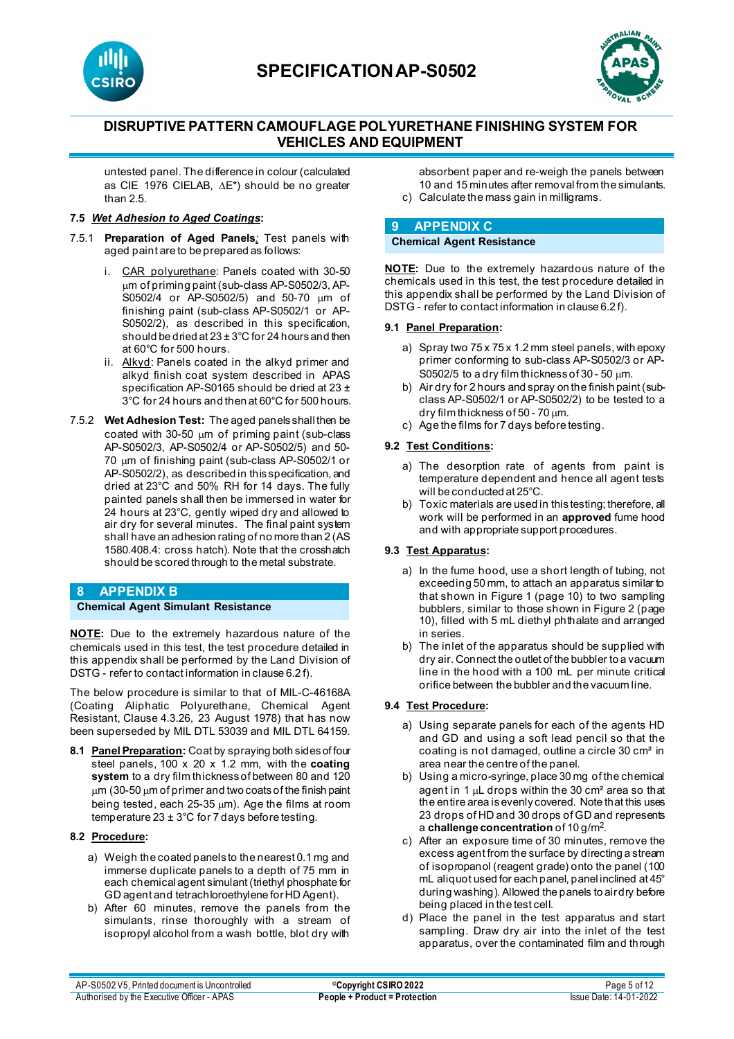



untested panel. The difference in colour (calculated as CIE 1976 CIELAB, ∆E\*) should be no greater than 2.5.

### **7.5** *Wet Adhesion to Aged Coatings***:**

- 7.5.1 **Preparation of Aged Panels***:* Test panels with aged paint are to be prepared as follows:
	- i. CAR polyurethane: Panels coated with 30-50 µm of priming paint (sub-class AP-S0502/3, AP-S0502/4 or AP-S0502/5) and 50-70 µm of finishing paint (sub-class AP-S0502/1 or AP- $S0502/2$ ), as described in this specification, should be dried at  $23 \pm 3^{\circ}$ C for 24 hours and then at 60°C for 500 hours.
	- ii. Alkyd: Panels coated in the alkyd primer and alkyd finish coat system described in APAS specification AP-S0165 should be dried at 23 ± 3°C for 24 hours and then at 60°C for 500 hours.
- 7.5.2 **Wet Adhesion Test:** The aged panels shall then be coated with 30-50 µm of priming paint (sub-class AP-S0502/3, AP-S0502/4 or AP-S0502/5) and 50- 70 µm of finishing paint (sub-class AP-S0502/1 or AP-S0502/2), as described in this specification, and dried at 23°C and 50% RH for 14 days. The fully painted panels shall then be immersed in water for 24 hours at 23°C, gently wiped dry and allowed to air dry for several minutes. The final paint system shall have an adhesion rating of no more than 2 (AS 1580.408.4: cross hatch). Note that the crosshatch should be scored through to the metal substrate.

### **8 APPENDIX B**

### **Chemical Agent Simulant Resistance**

**NOTE:** Due to the extremely hazardous nature of the chemicals used in this test, the test procedure detailed in this appendix shall be performed by the Land Division of DSTG - refer to contact information in clause 6.2 f).

The below procedure is similar to that of MIL-C-46168A (Coating Aliphatic Polyurethane, Chemical Agent Resistant, Clause 4.3.26, 23 August 1978) that has now been superseded by MIL DTL 53039 and MIL DTL 64159.

**8.1 Panel Preparation:** Coat by spraying both sides of four steel panels, 100 x 20 x 1.2 mm, with the **coating system** to a dry film thickness of between 80 and 120 µm (30-50 µm of primer and two coats of the finish paint being tested, each 25-35 µm). Age the films at room temperature 23 ± 3°C for 7 days before testing.

### **8.2 Procedure:**

- a) Weigh the coated panels to the nearest 0.1 mg and immerse duplicate panels to a depth of 75 mm in each chemical agent simulant (triethyl phosphate for GD agent and tetrachloroethylene for HD Agent).
- b) After 60 minutes, remove the panels from the simulants, rinse thoroughly with a stream of isopropyl alcohol from a wash bottle, blot dry with

absorbent paper and re-weigh the panels between 10 and 15 minutes after removal from the simulants. c) Calculate the mass gain in milligrams.

### **9 APPENDIX C**

### **Chemical Agent Resistance**

**NOTE:** Due to the extremely hazardous nature of the chemicals used in this test, the test procedure detailed in this appendix shall be performed by the Land Division of DSTG - refer to contact information in clause 6.2 f).

### **9.1 Panel Preparation:**

- a) Spray two 75 x 75 x 1.2 mm steel panels, with epoxy primer conforming to sub-class AP-S0502/3 or AP-S0502/5 to a dry film thickness of 30 - 50  $\mu$ m.
- b) Air dry for 2 hours and spray on the finish paint (subclass AP-S0502/1 or AP-S0502/2) to be tested to a dry film thickness of 50 - 70 µm.
- c) Age the films for 7 days before testing.

### **9.2 Test Conditions:**

- a) The desorption rate of agents from paint is temperature dependent and hence all agent tests will be conducted at 25°C.
- b) Toxic materials are used in this testing; therefore, all work will be performed in an **approved** fume hood and with appropriate support procedures.

### **9.3 Test Apparatus:**

- a) In the fume hood, use a short length of tubing, not exceeding 50 mm, to attach an apparatus similar to that shown in Figure 1 (page 10) to two sampling bubblers, similar to those shown in Figure 2 (page 10), filled with 5 mL diethyl phthalate and arranged in series.
- b) The inlet of the apparatus should be supplied with dry air. Connect the outlet of the bubbler to a vacuum line in the hood with a 100 mL per minute critical orifice between the bubbler and the vacuum line.

### **9.4 Test Procedure:**

- a) Using separate panels for each of the agents HD and GD and using a soft lead pencil so that the coating is not damaged, outline a circle 30 cm² in area near the centre of the panel.
- b) Using a micro-syringe, place 30 mg of the chemical agent in 1 µL drops within the 30 cm<sup>2</sup> area so that the entire area is evenly covered. Note that this uses 23 drops of HD and 30 drops of GD and represents a **challenge concentration** of 10 g/m<sup>2</sup>.
- c) After an exposure time of 30 minutes, remove the excess agent from the surface by directing a stream of isopropanol (reagent grade) onto the panel (100 mL aliquot used for each panel, panel inclined at 45° during washing). Allowed the panels to air dry before being placed in the test cell.
- d) Place the panel in the test apparatus and start sampling. Draw dry air into the inlet of the test apparatus, over the contaminated film and through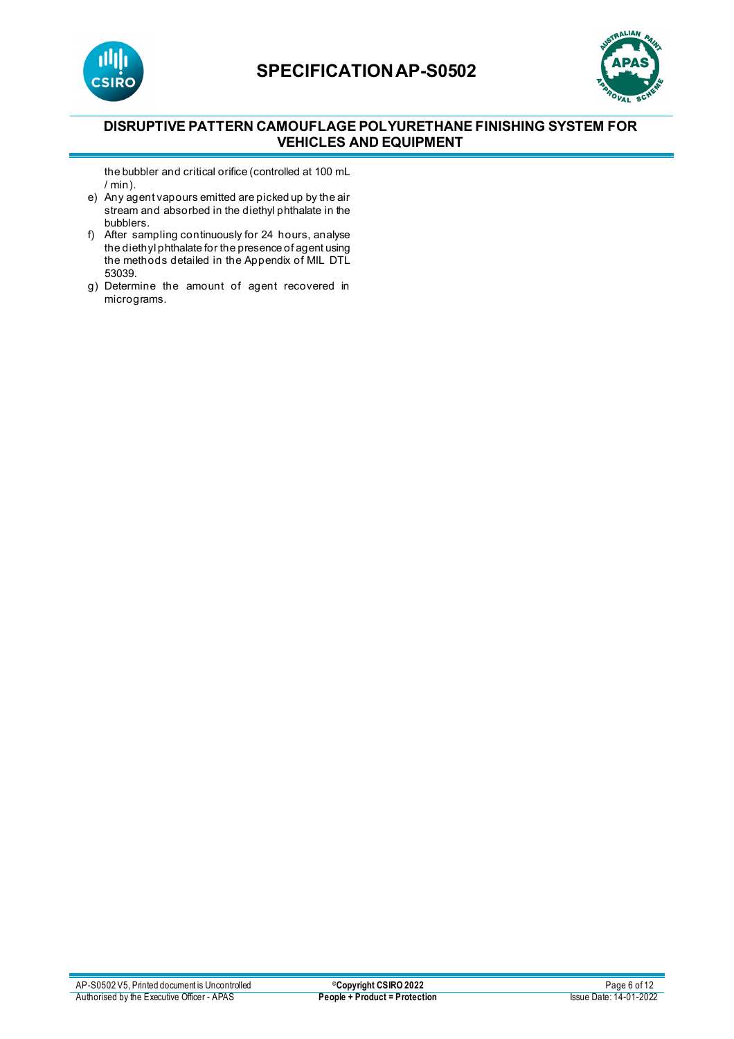



# **DISRUPTIVE PATTERN CAMOUFLAGE POLYURETHANE FINISHING SYSTEM FOR VEHICLES AND EQUIPMENT**

the bubbler and critical orifice (controlled at 100 mL / min).

- e) Any agent vapours emitted are picked up by the air stream and absorbed in the diethyl phthalate in the bubblers.
- f) After sampling continuously for 24 hours, analyse the diethyl phthalate for the presence of agent using the methods detailed in the Appendix of MIL DTL 53039.
- g) Determine the amount of agent recovered in micrograms.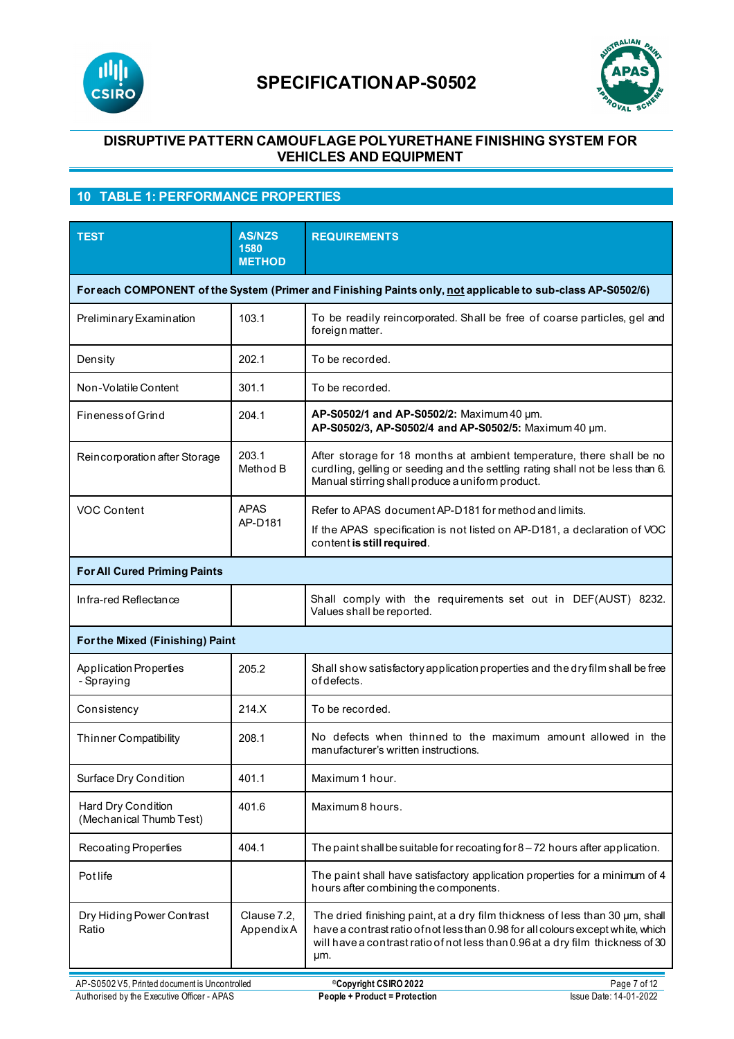



## **DISRUPTIVE PATTERN CAMOUFLAGE POLYURETHANE FINISHING SYSTEM FOR VEHICLES AND EQUIPMENT**

# **10 TABLE 1: PERFORMANCE PROPERTIES**

| <b>TEST</b>                                                                                                 | <b>AS/NZS</b><br>1580<br><b>METHOD</b> | <b>REQUIREMENTS</b>                                                                                                                                                                                                                                      |  |  |
|-------------------------------------------------------------------------------------------------------------|----------------------------------------|----------------------------------------------------------------------------------------------------------------------------------------------------------------------------------------------------------------------------------------------------------|--|--|
| For each COMPONENT of the System (Primer and Finishing Paints only, not applicable to sub-class AP-S0502/6) |                                        |                                                                                                                                                                                                                                                          |  |  |
| Preliminary Examination                                                                                     | 103.1                                  | To be readily reincorporated. Shall be free of coarse particles, gel and<br>foreign matter.                                                                                                                                                              |  |  |
| Density                                                                                                     | 202.1                                  | To be recorded.                                                                                                                                                                                                                                          |  |  |
| Non-Volatile Content                                                                                        | 301.1                                  | To be recorded.                                                                                                                                                                                                                                          |  |  |
| <b>Fineness of Grind</b>                                                                                    | 204.1                                  | AP-S0502/1 and AP-S0502/2: Maximum 40 um.<br>AP-S0502/3, AP-S0502/4 and AP-S0502/5: Maximum 40 um.                                                                                                                                                       |  |  |
| Reincorporation after Storage                                                                               | 203.1<br>Method B                      | After storage for 18 months at ambient temperature, there shall be no<br>curdling, gelling or seeding and the settling rating shall not be less than 6.<br>Manual stirring shall produce a uniform product.                                              |  |  |
| VOC Content                                                                                                 | <b>APAS</b><br>AP-D181                 | Refer to APAS document AP-D181 for method and limits.<br>If the APAS specification is not listed on AP-D181, a declaration of VOC<br>content is still required.                                                                                          |  |  |
| <b>For All Cured Priming Paints</b>                                                                         |                                        |                                                                                                                                                                                                                                                          |  |  |
| Infra-red Reflectance                                                                                       |                                        | Shall comply with the requirements set out in DEF(AUST) 8232.<br>Values shall be reported.                                                                                                                                                               |  |  |
|                                                                                                             | <b>Forthe Mixed (Finishing) Paint</b>  |                                                                                                                                                                                                                                                          |  |  |
| <b>Application Properties</b><br>- Spraying                                                                 | 205.2                                  | Shall show satisfactory application properties and the dry film shall be free<br>of defects.                                                                                                                                                             |  |  |
| Consistency                                                                                                 | 214.X                                  | To be recorded.                                                                                                                                                                                                                                          |  |  |
| <b>Thinner Compatibility</b>                                                                                | 208.1                                  | No defects when thinned to the maximum amount allowed in the<br>manufacturer's written instructions.                                                                                                                                                     |  |  |
| Surface Dry Condition                                                                                       | 401.1                                  | Maximum 1 hour.                                                                                                                                                                                                                                          |  |  |
| Hard Dry Condition<br>(Mechanical Thumb Test)                                                               | 401.6                                  | Maximum 8 hours.                                                                                                                                                                                                                                         |  |  |
| Recoating Properties                                                                                        | 404.1                                  | The paint shall be suitable for recoating for 8 - 72 hours after application.                                                                                                                                                                            |  |  |
| Potlife                                                                                                     |                                        | The paint shall have satisfactory application properties for a minimum of 4<br>hours after combining the components.                                                                                                                                     |  |  |
| Dry Hiding Power Contrast<br>Ratio                                                                          | Clause 7.2,<br>Appendix A              | The dried finishing paint, at a dry film thickness of less than 30 um, shall<br>have a contrast ratio of not less than 0.98 for all colours except white, which<br>will have a contrast ratio of not less than 0.96 at a dry film thickness of 30<br>µm. |  |  |
| AP-S0502V5, Printed document is Uncontrolled                                                                |                                        | Page 7 of 12<br>©Copyright CSIRO 2022                                                                                                                                                                                                                    |  |  |

Authorised by the Executive Officer - APAS **People + Product = Protection** Issue Date: 14-01-2022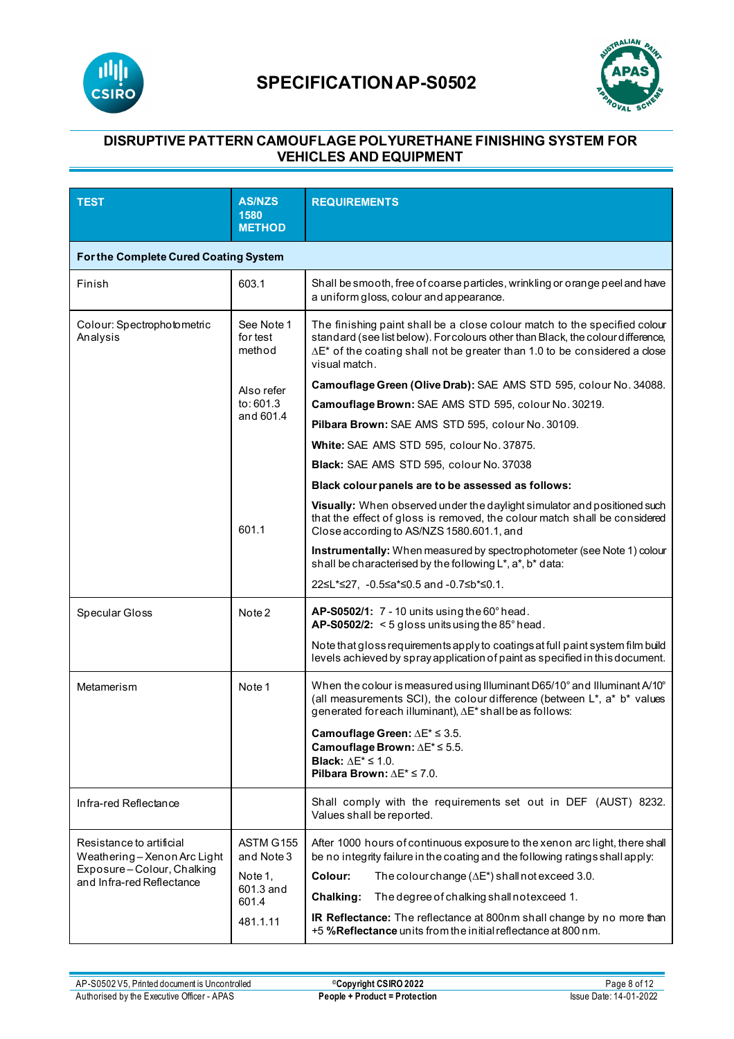



## **DISRUPTIVE PATTERN CAMOUFLAGE POLYURETHANE FINISHING SYSTEM FOR VEHICLES AND EQUIPMENT**

| <b>TEST</b>                                                                                                      | <b>AS/NZS</b><br>1580<br><b>METHOD</b> | <b>REQUIREMENTS</b>                                                                                                                                                                                                                                                 |  |  |
|------------------------------------------------------------------------------------------------------------------|----------------------------------------|---------------------------------------------------------------------------------------------------------------------------------------------------------------------------------------------------------------------------------------------------------------------|--|--|
| <b>For the Complete Cured Coating System</b>                                                                     |                                        |                                                                                                                                                                                                                                                                     |  |  |
| Finish                                                                                                           | 603.1                                  | Shall be smooth, free of coarse particles, wrinkling or orange peel and have<br>a uniform gloss, colour and appearance.                                                                                                                                             |  |  |
| Colour: Spectrophotometric<br>Analysis                                                                           | See Note 1<br>for test<br>method       | The finishing paint shall be a close colour match to the specified colour<br>standard (see list below). For colours other than Black, the colour difference,<br>$\Delta E^*$ of the coating shall not be greater than 1.0 to be considered a close<br>visual match. |  |  |
|                                                                                                                  | Also refer                             | Camouflage Green (Olive Drab): SAE AMS STD 595, colour No. 34088.                                                                                                                                                                                                   |  |  |
|                                                                                                                  | to:601.3                               | Camouflage Brown: SAE AMS STD 595, colour No. 30219.                                                                                                                                                                                                                |  |  |
|                                                                                                                  | and 601.4                              | Pilbara Brown: SAE AMS STD 595, colour No. 30109.                                                                                                                                                                                                                   |  |  |
|                                                                                                                  |                                        | White: SAE AMS STD 595, colour No. 37875.                                                                                                                                                                                                                           |  |  |
|                                                                                                                  |                                        | Black: SAE AMS STD 595, colour No. 37038                                                                                                                                                                                                                            |  |  |
|                                                                                                                  |                                        | Black colour panels are to be assessed as follows:                                                                                                                                                                                                                  |  |  |
|                                                                                                                  | 601.1                                  | <b>Visually:</b> When observed under the daylight simulator and positioned such<br>that the effect of gloss is removed, the colour match shall be considered<br>Close according to AS/NZS 1580.601.1, and                                                           |  |  |
|                                                                                                                  |                                        | Instrumentally: When measured by spectrophotometer (see Note 1) colour<br>shall be characterised by the following L*, a*, b* data:                                                                                                                                  |  |  |
|                                                                                                                  |                                        | 22≤L*≤27, -0.5≤a*≤0.5 and -0.7≤b*≤0.1.                                                                                                                                                                                                                              |  |  |
| Specular Gloss                                                                                                   | Note 2                                 | $AP-S0502/1: 7 - 10$ units using the 60 $^{\circ}$ head.<br>AP-S0502/2: $<$ 5 gloss units using the 85 $^{\circ}$ head.                                                                                                                                             |  |  |
|                                                                                                                  |                                        | Note that gloss requirements apply to coatings at full paint system film build<br>levels achieved by spray application of paint as specified in this document.                                                                                                      |  |  |
| Metamerism                                                                                                       | Note 1                                 | When the colour is measured using Illuminant D65/10° and Illuminant A/10°<br>(all measurements SCI), the colour difference (between L*, a* b* values<br>generated for each illuminant), ∆E* shall be as follows:                                                    |  |  |
|                                                                                                                  |                                        | Camouflage Green: $\Delta E^* \leq 3.5$ .<br>Camouflage Brown: ∆E* ≤ 5.5.<br><b>Black:</b> $\Delta E^* \le 1.0$ .<br>Pilbara Brown: $\Lambda E^* \leq 7.0$ .                                                                                                        |  |  |
| Infra-red Reflectance                                                                                            |                                        | Shall comply with the requirements set out in DEF (AUST) 8232.<br>Values shall be reported.                                                                                                                                                                         |  |  |
| Resistance to artificial<br>Weathering-Xenon Arc Light<br>Exposure-Colour, Chalking<br>and Infra-red Reflectance | ASTM G155<br>and Note 3                | After 1000 hours of continuous exposure to the xenon arc light, there shall<br>be no integrity failure in the coating and the following ratings shall apply:                                                                                                        |  |  |
|                                                                                                                  | Note 1,<br>601.3 and<br>601.4          | Colour:<br>The colour change ( $\Delta E^*$ ) shall not exceed 3.0.                                                                                                                                                                                                 |  |  |
|                                                                                                                  |                                        | The degree of chalking shall notexceed 1.<br>Chalking:                                                                                                                                                                                                              |  |  |
|                                                                                                                  | 481.1.11                               | IR Reflectance: The reflectance at 800nm shall change by no more than<br>+5 % Reflectance units from the initial reflectance at 800 nm.                                                                                                                             |  |  |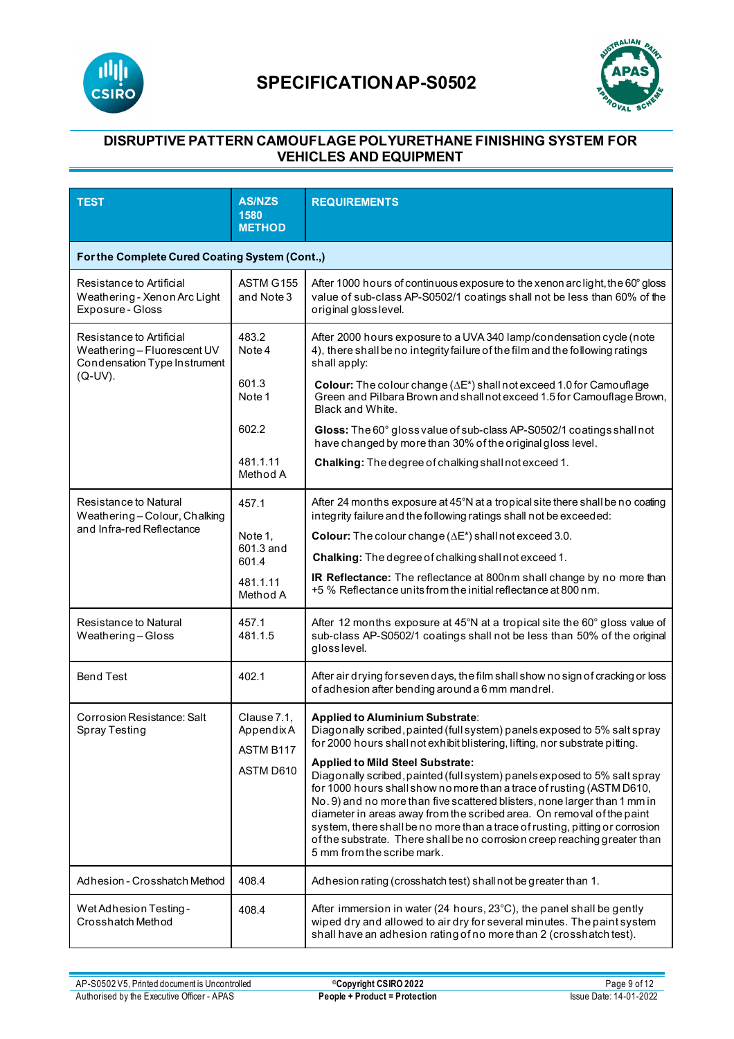



| <b>TEST</b>                                                                                      | <b>AS/NZS</b><br>1580<br><b>METHOD</b>             | <b>REQUIREMENTS</b>                                                                                                                                                                                                                                                                                                                                                                                                                                                                                                                                                                                                                                                                                                                            |  |  |
|--------------------------------------------------------------------------------------------------|----------------------------------------------------|------------------------------------------------------------------------------------------------------------------------------------------------------------------------------------------------------------------------------------------------------------------------------------------------------------------------------------------------------------------------------------------------------------------------------------------------------------------------------------------------------------------------------------------------------------------------------------------------------------------------------------------------------------------------------------------------------------------------------------------------|--|--|
| For the Complete Cured Coating System (Cont.,)                                                   |                                                    |                                                                                                                                                                                                                                                                                                                                                                                                                                                                                                                                                                                                                                                                                                                                                |  |  |
| Resistance to Artificial<br>Weathering - Xenon Arc Light<br>Exposure - Gloss                     | ASTM G155<br>and Note 3                            | After 1000 hours of continuous exposure to the xenon arclight, the 60° gloss<br>value of sub-class AP-S0502/1 coatings shall not be less than 60% of the<br>original gloss level.                                                                                                                                                                                                                                                                                                                                                                                                                                                                                                                                                              |  |  |
| Resistance to Artificial<br>Weathering-Fluorescent UV<br>Condensation Type Instrument<br>(Q-UV). | 483.2<br>Note 4                                    | After 2000 hours exposure to a UVA 340 lamp/condensation cycle (note<br>4), there shall be no integrity failure of the film and the following ratings<br>shall apply:                                                                                                                                                                                                                                                                                                                                                                                                                                                                                                                                                                          |  |  |
|                                                                                                  | 601.3<br>Note 1                                    | <b>Colour:</b> The colour change ( $\Delta E^*$ ) shall not exceed 1.0 for Camouflage<br>Green and Pilbara Brown and shall not exceed 1.5 for Camouflage Brown,<br>Black and White.                                                                                                                                                                                                                                                                                                                                                                                                                                                                                                                                                            |  |  |
|                                                                                                  | 602.2                                              | Gloss: The 60° gloss value of sub-class AP-S0502/1 coatings shall not<br>have changed by more than 30% of the original gloss level.                                                                                                                                                                                                                                                                                                                                                                                                                                                                                                                                                                                                            |  |  |
|                                                                                                  | 481.1.11<br>Method A                               | Chalking: The degree of chalking shall not exceed 1.                                                                                                                                                                                                                                                                                                                                                                                                                                                                                                                                                                                                                                                                                           |  |  |
| Resistance to Natural<br>Weathering-Colour, Chalking                                             | 457.1                                              | After 24 months exposure at 45°N at a tropical site there shall be no coating<br>integrity failure and the following ratings shall not be exceeded:                                                                                                                                                                                                                                                                                                                                                                                                                                                                                                                                                                                            |  |  |
| and Infra-red Reflectance                                                                        | Note 1,<br>601.3 and<br>601.4                      | <b>Colour:</b> The colour change $(\Delta E^*)$ shall not exceed 3.0.                                                                                                                                                                                                                                                                                                                                                                                                                                                                                                                                                                                                                                                                          |  |  |
|                                                                                                  |                                                    | Chalking: The degree of chalking shall not exceed 1.                                                                                                                                                                                                                                                                                                                                                                                                                                                                                                                                                                                                                                                                                           |  |  |
|                                                                                                  | 481.1.11<br>Method A                               | IR Reflectance: The reflectance at 800nm shall change by no more than<br>+5 % Reflectance units from the initial reflectance at 800 nm.                                                                                                                                                                                                                                                                                                                                                                                                                                                                                                                                                                                                        |  |  |
| Resistance to Natural<br>Weathering-Gloss                                                        | 457.1<br>481.1.5                                   | After 12 months exposure at 45°N at a tropical site the 60° gloss value of<br>sub-class AP-S0502/1 coatings shall not be less than 50% of the original<br>glosslevel.                                                                                                                                                                                                                                                                                                                                                                                                                                                                                                                                                                          |  |  |
| <b>Bend Test</b>                                                                                 | 402.1                                              | After air drying for seven days, the film shall show no sign of cracking or loss<br>of adhesion after bending around a 6 mm mandrel.                                                                                                                                                                                                                                                                                                                                                                                                                                                                                                                                                                                                           |  |  |
| Corrosion Resistance: Salt<br>Spray Testing                                                      | Clause 7.1,<br>AppendixA<br>ASTM B117<br>ASTM D610 | Applied to Aluminium Substrate:<br>Diagonally scribed, painted (full system) panels exposed to 5% salt spray<br>for 2000 hours shall not exhibit blistering, lifting, nor substrate pitting.<br><b>Applied to Mild Steel Substrate:</b><br>Diagonally scribed, painted (full system) panels exposed to 5% salt spray<br>for 1000 hours shall show no more than a trace of rusting (ASTM D610,<br>No. 9) and no more than five scattered blisters, none larger than 1 mm in<br>diameter in areas away from the scribed area. On removal of the paint<br>system, there shall be no more than a trace of rusting, pitting or corrosion<br>of the substrate. There shall be no corrosion creep reaching greater than<br>5 mm from the scribe mark. |  |  |
| Adhesion - Crosshatch Method                                                                     | 408.4                                              | Adhesion rating (crosshatch test) shall not be greater than 1.                                                                                                                                                                                                                                                                                                                                                                                                                                                                                                                                                                                                                                                                                 |  |  |
| Wet Adhesion Testing -<br>Crosshatch Method                                                      | 408.4                                              | After immersion in water (24 hours, 23°C), the panel shall be gently<br>wiped dry and allowed to air dry for several minutes. The paint system<br>shall have an adhesion rating of no more than 2 (crosshatch test).                                                                                                                                                                                                                                                                                                                                                                                                                                                                                                                           |  |  |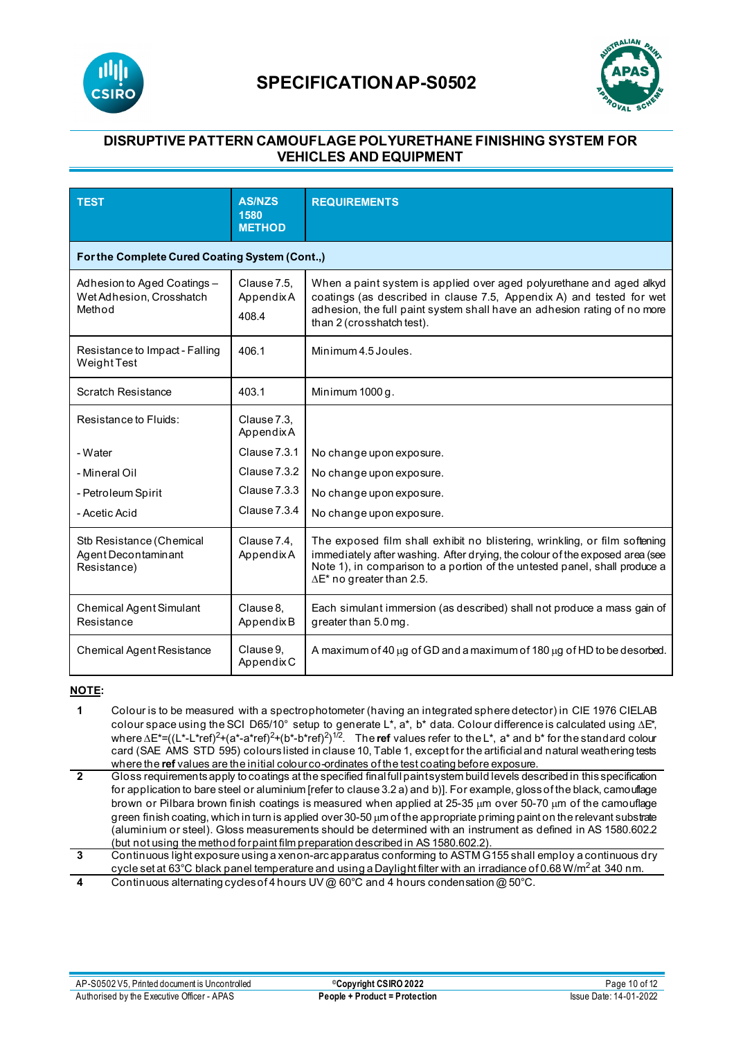



| <b>TEST</b>                                                       | <b>AS/NZS</b><br>1580<br><b>METHOD</b> | <b>REQUIREMENTS</b>                                                                                                                                                                                                                                                                      |
|-------------------------------------------------------------------|----------------------------------------|------------------------------------------------------------------------------------------------------------------------------------------------------------------------------------------------------------------------------------------------------------------------------------------|
| For the Complete Cured Coating System (Cont.,)                    |                                        |                                                                                                                                                                                                                                                                                          |
| Adhesion to Aged Coatings -<br>Wet Adhesion, Crosshatch<br>Method | Clause 7.5.<br>AppendixA<br>408.4      | When a paint system is applied over aged polyurethane and aged alkyd<br>coatings (as described in clause 7.5, Appendix A) and tested for wet<br>adhesion, the full paint system shall have an adhesion rating of no more<br>than 2 (crosshatch test).                                    |
| Resistance to Impact - Falling<br>Weight Test                     | 406.1                                  | Minimum 4.5 Joules.                                                                                                                                                                                                                                                                      |
| Scratch Resistance                                                | 403.1                                  | Minimum 1000 g.                                                                                                                                                                                                                                                                          |
| Resistance to Fluids:                                             | Clause 7.3,<br>AppendixA               |                                                                                                                                                                                                                                                                                          |
| - Water                                                           | Clause 7.3.1                           | No change upon exposure.                                                                                                                                                                                                                                                                 |
| - Mineral Oil                                                     | Clause 7.3.2                           | No change upon exposure.                                                                                                                                                                                                                                                                 |
| - Petroleum Spirit                                                | Clause 7.3.3                           | No change upon exposure.                                                                                                                                                                                                                                                                 |
| - Acetic Acid                                                     | Clause 7.3.4                           | No change upon exposure.                                                                                                                                                                                                                                                                 |
| Stb Resistance (Chemical<br>Agent Decontaminant<br>Resistance)    | Clause 7.4,<br>AppendixA               | The exposed film shall exhibit no blistering, wrinkling, or film softening<br>immediately after washing. After drying, the colour of the exposed area (see<br>Note 1), in comparison to a portion of the untested panel, shall produce a<br>$\Delta$ E <sup>*</sup> no greater than 2.5. |
| <b>Chemical Agent Simulant</b><br>Resistance                      | Clause 8,<br>AppendixB                 | Each simulant immersion (as described) shall not produce a mass gain of<br>greater than 5.0 mg.                                                                                                                                                                                          |
| <b>Chemical Agent Resistance</b>                                  | Clause 9,<br>AppendixC                 | A maximum of 40 $\mu$ g of GD and a maximum of 180 $\mu$ g of HD to be desorbed.                                                                                                                                                                                                         |

### **NOTE:**

- **1** Colour is to be measured with a spectrophotometer (having an integrated sphere detector) in CIE 1976 CIELAB colour space using the SCI D65/10° setup to generate L\*, a\*, b\* data. Colour difference is calculated using ∆E\*, where ∆E\*=((L\*-L\*ref)<sup>2</sup>+(a\*-a\*ref)<sup>2</sup>+(b\*-b\*ref)<sup>2</sup>)<sup>1/2</sup>. The **ref** values refer to the L\*, a\* and b\* for the standard colour card (SAE AMS STD 595) colours listed in clause 10, Table 1, except for the artificial and natural weathering tests where the **ref** values are the initial colourco-ordinates of the test coating before exposure.
- **2** Gloss requirements apply to coatings at the specified final full paint system build levels described in this specification for application to bare steel or aluminium [refer to clause 3.2 a) and b)]. For example, gloss of the black, camouflage brown or Pilbara brown finish coatings is measured when applied at 25-35 µm over 50-70 µm of the camouflage green finish coating, which in turn is applied over 30-50 µm of the appropriate priming paint on the relevant substrate (aluminium or steel). Gloss measurements should be determined with an instrument as defined in AS 1580.602.2 (but not using the method for paint film preparation described in AS 1580.602.2).
- **3** Continuous light exposure using a xenon-arc apparatus conforming to ASTM G155 shall employ a continuous dry cycle set at 63°C black panel temperature and using a Daylight filter with an irradiance of 0.68 W/m<sup>2</sup> at 340 nm. **4** Continuous alternating cycles of 4 hours UV @ 60°C and 4 hours condensation @ 50°C.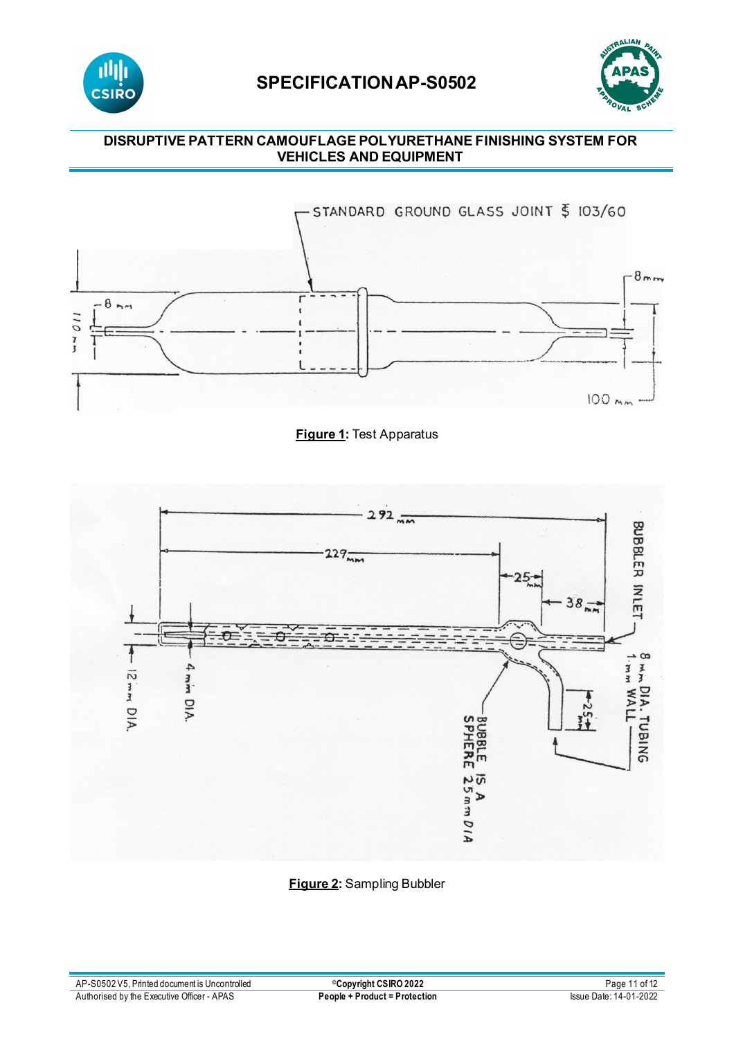



# **DISRUPTIVE PATTERN CAMOUFLAGE POLYURETHANE FINISHING SYSTEM FOR VEHICLES AND EQUIPMENT**







**Figure 2:** Sampling Bubbler